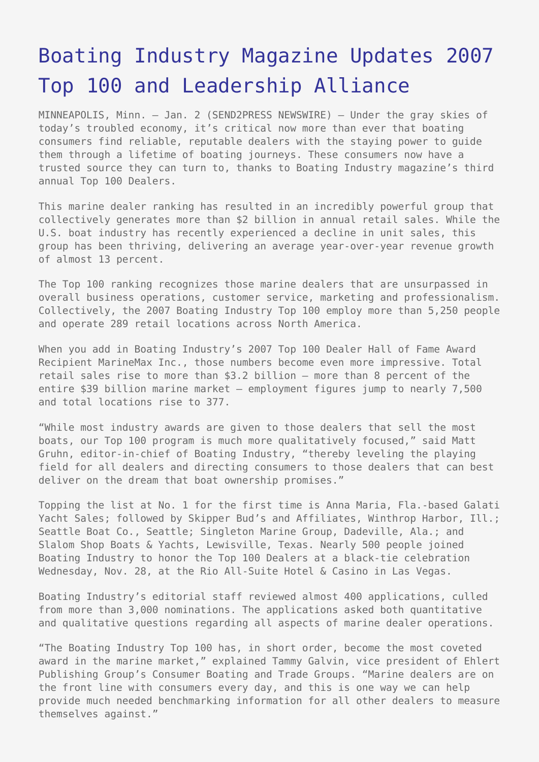## [Boating Industry Magazine Updates 2007](https://www.send2press.com/wire/2008-01-0102-001/) [Top 100 and Leadership Alliance](https://www.send2press.com/wire/2008-01-0102-001/)

MINNEAPOLIS, Minn. – Jan. 2 (SEND2PRESS NEWSWIRE) — Under the gray skies of today's troubled economy, it's critical now more than ever that boating consumers find reliable, reputable dealers with the staying power to guide them through a lifetime of boating journeys. These consumers now have a trusted source they can turn to, thanks to Boating Industry magazine's third annual Top 100 Dealers.

This marine dealer ranking has resulted in an incredibly powerful group that collectively generates more than \$2 billion in annual retail sales. While the U.S. boat industry has recently experienced a decline in unit sales, this group has been thriving, delivering an average year-over-year revenue growth of almost 13 percent.

The Top 100 ranking recognizes those marine dealers that are unsurpassed in overall business operations, customer service, marketing and professionalism. Collectively, the 2007 Boating Industry Top 100 employ more than 5,250 people and operate 289 retail locations across North America.

When you add in Boating Industry's 2007 Top 100 Dealer Hall of Fame Award Recipient MarineMax Inc., those numbers become even more impressive. Total retail sales rise to more than \$3.2 billion – more than 8 percent of the entire \$39 billion marine market – employment figures jump to nearly 7,500 and total locations rise to 377.

"While most industry awards are given to those dealers that sell the most boats, our Top 100 program is much more qualitatively focused," said Matt Gruhn, editor-in-chief of Boating Industry, "thereby leveling the playing field for all dealers and directing consumers to those dealers that can best deliver on the dream that boat ownership promises."

Topping the list at No. 1 for the first time is Anna Maria, Fla.-based Galati Yacht Sales; followed by Skipper Bud's and Affiliates, Winthrop Harbor, Ill.; Seattle Boat Co., Seattle; Singleton Marine Group, Dadeville, Ala.; and Slalom Shop Boats & Yachts, Lewisville, Texas. Nearly 500 people joined Boating Industry to honor the Top 100 Dealers at a black-tie celebration Wednesday, Nov. 28, at the Rio All-Suite Hotel & Casino in Las Vegas.

Boating Industry's editorial staff reviewed almost 400 applications, culled from more than 3,000 nominations. The applications asked both quantitative and qualitative questions regarding all aspects of marine dealer operations.

"The Boating Industry Top 100 has, in short order, become the most coveted award in the marine market," explained Tammy Galvin, vice president of Ehlert Publishing Group's Consumer Boating and Trade Groups. "Marine dealers are on the front line with consumers every day, and this is one way we can help provide much needed benchmarking information for all other dealers to measure themselves against."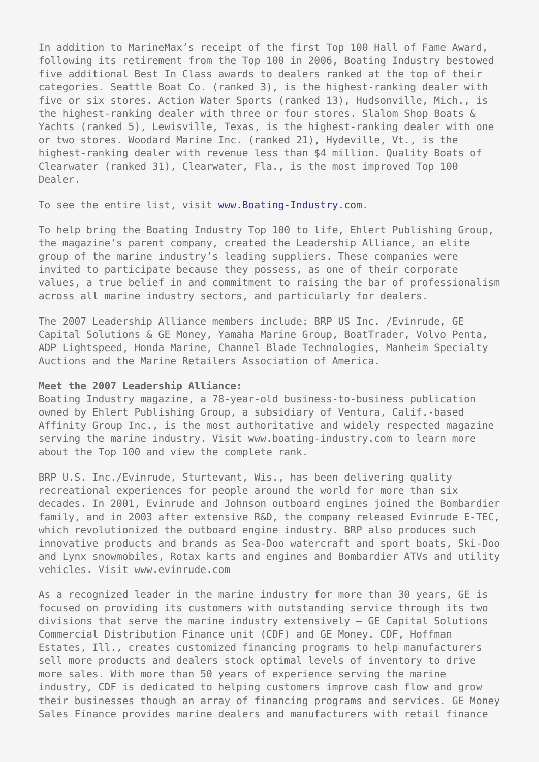In addition to MarineMax's receipt of the first Top 100 Hall of Fame Award, following its retirement from the Top 100 in 2006, Boating Industry bestowed five additional Best In Class awards to dealers ranked at the top of their categories. Seattle Boat Co. (ranked 3), is the highest-ranking dealer with five or six stores. Action Water Sports (ranked 13), Hudsonville, Mich., is the highest-ranking dealer with three or four stores. Slalom Shop Boats & Yachts (ranked 5), Lewisville, Texas, is the highest-ranking dealer with one or two stores. Woodard Marine Inc. (ranked 21), Hydeville, Vt., is the highest-ranking dealer with revenue less than \$4 million. Quality Boats of Clearwater (ranked 31), Clearwater, Fla., is the most improved Top 100 Dealer.

To see the entire list, visit [www.Boating-Industry.com](http://www.Boating-Industry.com).

To help bring the Boating Industry Top 100 to life, Ehlert Publishing Group, the magazine's parent company, created the Leadership Alliance, an elite group of the marine industry's leading suppliers. These companies were invited to participate because they possess, as one of their corporate values, a true belief in and commitment to raising the bar of professionalism across all marine industry sectors, and particularly for dealers.

The 2007 Leadership Alliance members include: BRP US Inc. /Evinrude, GE Capital Solutions & GE Money, Yamaha Marine Group, BoatTrader, Volvo Penta, ADP Lightspeed, Honda Marine, Channel Blade Technologies, Manheim Specialty Auctions and the Marine Retailers Association of America.

## **Meet the 2007 Leadership Alliance:**

Boating Industry magazine, a 78-year-old business-to-business publication owned by Ehlert Publishing Group, a subsidiary of Ventura, Calif.-based Affinity Group Inc., is the most authoritative and widely respected magazine serving the marine industry. Visit www.boating-industry.com to learn more about the Top 100 and view the complete rank.

BRP U.S. Inc./Evinrude, Sturtevant, Wis., has been delivering quality recreational experiences for people around the world for more than six decades. In 2001, Evinrude and Johnson outboard engines joined the Bombardier family, and in 2003 after extensive R&D, the company released Evinrude E-TEC, which revolutionized the outboard engine industry. BRP also produces such innovative products and brands as Sea-Doo watercraft and sport boats, Ski-Doo and Lynx snowmobiles, Rotax karts and engines and Bombardier ATVs and utility vehicles. Visit www.evinrude.com

As a recognized leader in the marine industry for more than 30 years, GE is focused on providing its customers with outstanding service through its two divisions that serve the marine industry extensively – GE Capital Solutions Commercial Distribution Finance unit (CDF) and GE Money. CDF, Hoffman Estates, Ill., creates customized financing programs to help manufacturers sell more products and dealers stock optimal levels of inventory to drive more sales. With more than 50 years of experience serving the marine industry, CDF is dedicated to helping customers improve cash flow and grow their businesses though an array of financing programs and services. GE Money Sales Finance provides marine dealers and manufacturers with retail finance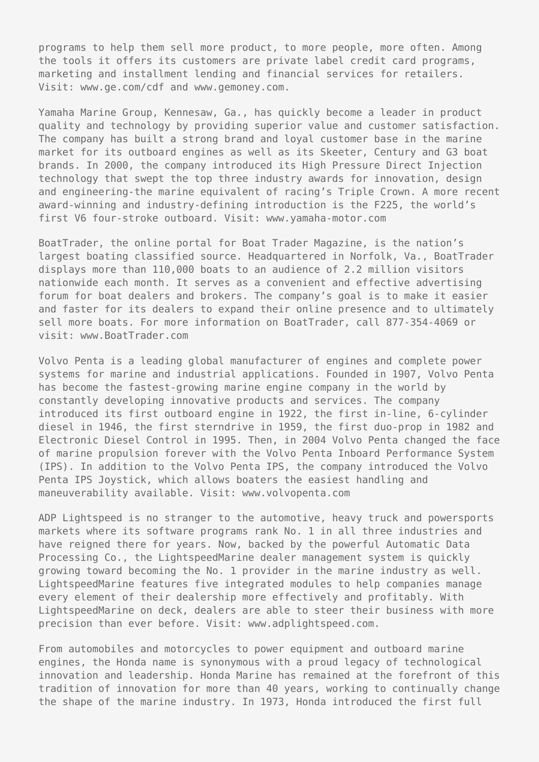programs to help them sell more product, to more people, more often. Among the tools it offers its customers are private label credit card programs, marketing and installment lending and financial services for retailers. Visit: www.ge.com/cdf and www.gemoney.com.

Yamaha Marine Group, Kennesaw, Ga., has quickly become a leader in product quality and technology by providing superior value and customer satisfaction. The company has built a strong brand and loyal customer base in the marine market for its outboard engines as well as its Skeeter, Century and G3 boat brands. In 2000, the company introduced its High Pressure Direct Injection technology that swept the top three industry awards for innovation, design and engineering-the marine equivalent of racing's Triple Crown. A more recent award-winning and industry-defining introduction is the F225, the world's first V6 four-stroke outboard. Visit: www.yamaha-motor.com

BoatTrader, the online portal for Boat Trader Magazine, is the nation's largest boating classified source. Headquartered in Norfolk, Va., BoatTrader displays more than 110,000 boats to an audience of 2.2 million visitors nationwide each month. It serves as a convenient and effective advertising forum for boat dealers and brokers. The company's goal is to make it easier and faster for its dealers to expand their online presence and to ultimately sell more boats. For more information on BoatTrader, call 877-354-4069 or visit: www.BoatTrader.com

Volvo Penta is a leading global manufacturer of engines and complete power systems for marine and industrial applications. Founded in 1907, Volvo Penta has become the fastest-growing marine engine company in the world by constantly developing innovative products and services. The company introduced its first outboard engine in 1922, the first in-line, 6-cylinder diesel in 1946, the first sterndrive in 1959, the first duo-prop in 1982 and Electronic Diesel Control in 1995. Then, in 2004 Volvo Penta changed the face of marine propulsion forever with the Volvo Penta Inboard Performance System (IPS). In addition to the Volvo Penta IPS, the company introduced the Volvo Penta IPS Joystick, which allows boaters the easiest handling and maneuverability available. Visit: www.volvopenta.com

ADP Lightspeed is no stranger to the automotive, heavy truck and powersports markets where its software programs rank No. 1 in all three industries and have reigned there for years. Now, backed by the powerful Automatic Data Processing Co., the LightspeedMarine dealer management system is quickly growing toward becoming the No. 1 provider in the marine industry as well. LightspeedMarine features five integrated modules to help companies manage every element of their dealership more effectively and profitably. With LightspeedMarine on deck, dealers are able to steer their business with more precision than ever before. Visit: www.adplightspeed.com.

From automobiles and motorcycles to power equipment and outboard marine engines, the Honda name is synonymous with a proud legacy of technological innovation and leadership. Honda Marine has remained at the forefront of this tradition of innovation for more than 40 years, working to continually change the shape of the marine industry. In 1973, Honda introduced the first full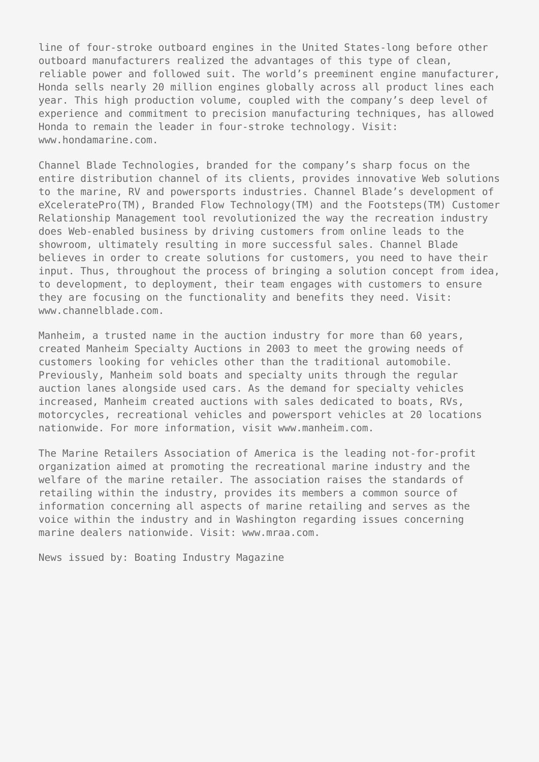line of four-stroke outboard engines in the United States-long before other outboard manufacturers realized the advantages of this type of clean, reliable power and followed suit. The world's preeminent engine manufacturer, Honda sells nearly 20 million engines globally across all product lines each year. This high production volume, coupled with the company's deep level of experience and commitment to precision manufacturing techniques, has allowed Honda to remain the leader in four-stroke technology. Visit: www.hondamarine.com.

Channel Blade Technologies, branded for the company's sharp focus on the entire distribution channel of its clients, provides innovative Web solutions to the marine, RV and powersports industries. Channel Blade's development of eXceleratePro(TM), Branded Flow Technology(TM) and the Footsteps(TM) Customer Relationship Management tool revolutionized the way the recreation industry does Web-enabled business by driving customers from online leads to the showroom, ultimately resulting in more successful sales. Channel Blade believes in order to create solutions for customers, you need to have their input. Thus, throughout the process of bringing a solution concept from idea, to development, to deployment, their team engages with customers to ensure they are focusing on the functionality and benefits they need. Visit: www.channelblade.com.

Manheim, a trusted name in the auction industry for more than 60 years, created Manheim Specialty Auctions in 2003 to meet the growing needs of customers looking for vehicles other than the traditional automobile. Previously, Manheim sold boats and specialty units through the regular auction lanes alongside used cars. As the demand for specialty vehicles increased, Manheim created auctions with sales dedicated to boats, RVs, motorcycles, recreational vehicles and powersport vehicles at 20 locations nationwide. For more information, visit www.manheim.com.

The Marine Retailers Association of America is the leading not-for-profit organization aimed at promoting the recreational marine industry and the welfare of the marine retailer. The association raises the standards of retailing within the industry, provides its members a common source of information concerning all aspects of marine retailing and serves as the voice within the industry and in Washington regarding issues concerning marine dealers nationwide. Visit: www.mraa.com.

News issued by: Boating Industry Magazine